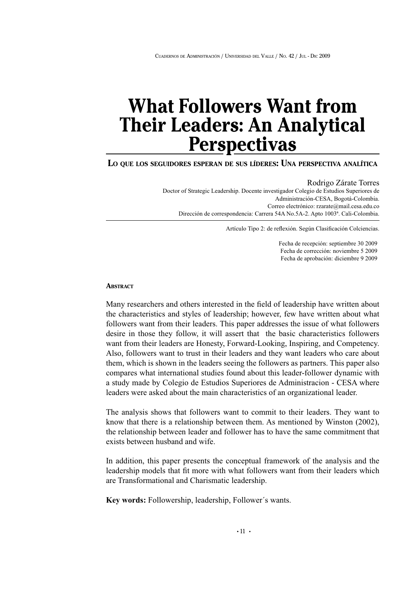# **What Followers Want from Their Leaders: An Analytical Perspectivas**

### **L<sup>O</sup> QUE LOS SEGUIDORES ESPERAN DE SUS LÍDERES: UNA PERSPECTIVA ANALÍTICA**

Rodrigo Zárate Torres Doctor of Strategic Leadership. Docente investigador Colegio de Estudios Superiores de Administración-CESA, Bogotá-Colombia. Correo electrónico: rzarate@mail.cesa.edu.co Dirección de correspondencia: Carrera 54A No.5A-2. Apto 1003ª. Cali-Colombia.

Artículo Tipo 2: de reflexión. Según Clasificación Colciencias.

Fecha de recepción: septiembre 30 2009 Fecha de corrección: noviembre 5 2009 Fecha de aprobación: diciembre 9 2009

#### **ABSTRACT**

Many researchers and others interested in the field of leadership have written about the characteristics and styles of leadership; however, few have written about what followers want from their leaders. This paper addresses the issue of what followers desire in those they follow, it will assert that the basic characteristics followers want from their leaders are Honesty, Forward-Looking, Inspiring, and Competency. Also, followers want to trust in their leaders and they want leaders who care about them, which is shown in the leaders seeing the followers as partners. This paper also compares what international studies found about this leader-follower dynamic with a study made by Colegio de Estudios Superiores de Administracion - CESA where leaders were asked about the main characteristics of an organizational leader.

The analysis shows that followers want to commit to their leaders. They want to know that there is a relationship between them. As mentioned by Winston (2002), the relationship between leader and follower has to have the same commitment that exists between husband and wife.

In addition, this paper presents the conceptual framework of the analysis and the leadership models that fit more with what followers want from their leaders which are Transformational and Charismatic leadership.

**Key words:** Followership, leadership, Follower´s wants.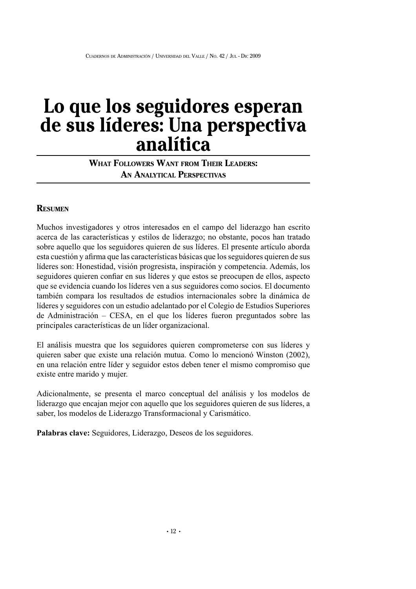# **Lo q u e los seg u idores esperan de su s líderes: U na perspectiva analítica**

# **W<sup>H</sup> AT FOLLOWERS WANT FROM T<sup>H</sup> EIR LEADERS: A<sup>N</sup> ANALY TICAL PERSPECTIVAS**

# **RESUM EN**

Muchos investigadores y otros interesados en el campo del liderazgo han escrito acerca de las características y estilos de liderazgo; no obstante, pocos han tratado sobre aquello que los seguidores quieren de sus líderes. El presente artículo aborda esta cuestión y afirma que las características básicas que losseguidores quieren de sus líderes son: Honestidad, visión progresista, inspiración y competencia. Además, los seguidores quieren confiar en sus líderes y que estos se preocupen de ellos, aspecto que se evidencia cuando los líderes ven a sus seguidores como socios. El documento también compara los resultados de estudios internacionales sobre la dinámica de líderes y seguidores con un estudio adelantado por el Colegio de Estudios Superiores de Administración – CESA, en el que los líderes fueron preguntados sobre las principales características de un líder organizacional.

El análisis muestra que los seguidores quieren comprometerse con sus líderes y quieren saber que existe una relación mutua. Como lo mencionó Winston (2002), en una relación entre líder y seguidor estos deben tener el mismo compromiso que existe entre marido y mujer.

Adicionalmente, se presenta el marco conceptual del análisis y los modelos de liderazgo que encajan mejor con aquello que los seguidores quieren de sus líderes, a saber, los modelos de Liderazgo Transformacional y Carismático.

**Palabras clave:** Seguidores, Liderazgo, Deseos de los seguidores.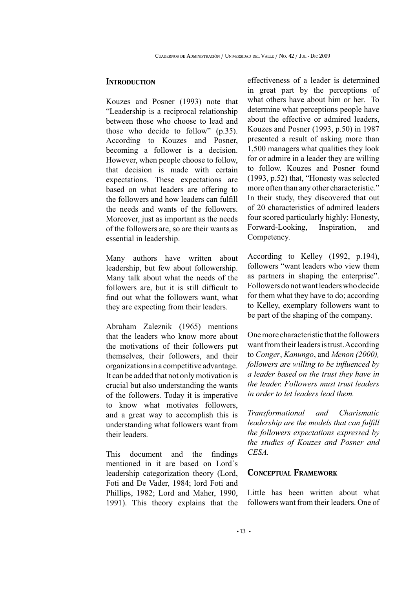# **INTRODUCTION**

Kouzes and Posner (1993) note that "Leadership is a reciprocal relationship between those who choose to lead and those who decide to follow" (p.35). According to Kouzes and Posner, becoming a follower is a decision. However, when people choose to follow, that decision is made with certain expectations. These expectations are based on what leaders are offering to the followers and how leaders can fulfill the needs and wants of the followers. Moreover, just as important as the needs of the followers are, so are their wants as essential in leadership.

Many authors have written about leadership, but few about followership. Many talk about what the needs of the followers are, but it is still difficult to find out what the followers want, what they are expecting from their leaders.

Abraham Zaleznik (1965) mentions that the leaders who know more about the motivations of their followers put themselves, their followers, and their organizationsin a competitive advantage. It can be added that not only motivation is crucial but also understanding the wants of the followers. Today it is imperative to know what motivates followers, and a great way to accomplish this is understanding what followers want from their leaders.

This document and the findings mentioned in it are based on Lord´s leadership categorization theory (Lord, Foti and De Vader, 1984; lord Foti and Phillips, 1982; Lord and Maher, 1990, 1991). This theory explains that the effectiveness of a leader is determined in great part by the perceptions of what others have about him or her. To determine what perceptions people have about the effective or admired leaders, Kouzes and Posner (1993, p.50) in 1987 presented a result of asking more than 1,500 managers what qualities they look for or admire in a leader they are willing to follow. Kouzes and Posner found (1993, p.52) that, "Honesty was selected more often than any other characteristic." In their study, they discovered that out of 20 characteristics of admired leaders four scored particularly highly: Honesty, Forward-Looking, Inspiration, and Competency.

According to Kelley (1992, p.194), followers "want leaders who view them as partners in shaping the enterprise". Followers do not want leaders who decide for them what they have to do; according to Kelley, exemplary followers want to be part of the shaping of the company.

One more characteristic that the followers want from their leaders is trust. According to *Conger*, *Kanungo*, and *Menon (2000), followers are willing to be influenced by a leader based on the trust they have in the leader. Followers must trust leaders in order to let leaders lead them.*

*Transformational and Charismatic leadership are the models that can fulfill the followers expectations expressed by the studies of Kouzes and Posner and CESA.*

# **CONCEPTUAL FRAM EWORK**

Little has been written about what followers want from their leaders. One of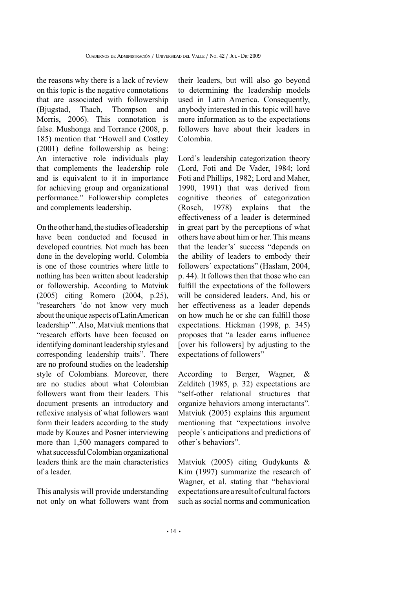the reasons why there is a lack of review on this topic is the negative connotations that are associated with followership (Bjugstad, Thach, Thompson and Morris, 2006). This connotation is false. Mushonga and Torrance (2008, p. 185) mention that "Howell and Costley (2001) define followership as being: An interactive role individuals play that complements the leadership role and is equivalent to it in importance for achieving group and organizational performance." Followership completes and complements leadership.

On the other hand, the studies of leadership have been conducted and focused in developed countries. Not much has been done in the developing world. Colombia is one of those countries where little to nothing has been written about leadership or followership. According to Matviuk (2005) citing Romero (2004, p.25), "researchers 'do not know very much about the unique aspects of Latin American leadership'". Also, Matviuk mentions that "research efforts have been focused on identifying dominant leadership styles and corresponding leadership traits". There are no profound studies on the leadership style of Colombians. Moreover, there are no studies about what Colombian followers want from their leaders. This document presents an introductory and reflexive analysis of what followers want form their leaders according to the study made by Kouzes and Posner interviewing more than 1,500 managers compared to what successful Colombian organizational leaders think are the main characteristics of a leader.

This analysis will provide understanding not only on what followers want from

their leaders, but will also go beyond to determining the leadership models used in Latin America. Consequently, anybody interested in this topic will have more information as to the expectations followers have about their leaders in Colombia.

Lord´s leadership categorization theory (Lord, Foti and De Vader, 1984; lord Foti and Phillips, 1982; Lord and Maher, 1990, 1991) that was derived from cognitive theories of categorization (Rosch, 1978) explains that the effectiveness of a leader is determined in great part by the perceptions of what others have about him or her. This means that the leader's´ success "depends on the ability of leaders to embody their followers´ expectations"(Haslam, 2004, p. 44). It follows then that those who can fulfill the expectations of the followers will be considered leaders. And, his or her effectiveness as a leader depends on how much he or she can fulfill those expectations. Hickman (1998, p. 345) proposes that "a leader earns influence [over his followers] by adjusting to the expectations of followers"

According to Berger, Wagner, & Zelditch (1985, p. 32) expectations are "self-other relational structures that organize behaviors among interactants". Matviuk (2005) explains this argument mentioning that "expectations involve people´s anticipations and predictions of other´s behaviors".

Matviuk (2005) citing Gudykunts & Kim (1997) summarize the research of Wagner, et al. stating that "behavioral expectations are a result of cultural factors such as social norms and communication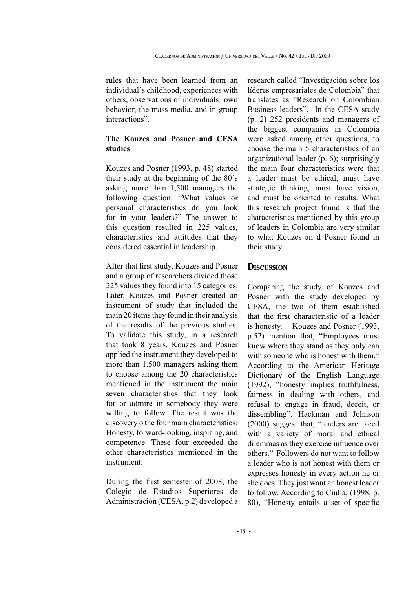rules that have been learned from an individual´s childhood, experiences with others, observations of individuals´ own behavior, the mass media, and in-group interactions".

# **The Kouzes and Posner and CESA studies**

Kouzes and Posner (1993, p. 48) started their study at the beginning of the 80´s asking more than 1,500 managers the following question: "What values or personal characteristics do you look for in your leaders?" The answer to this question resulted in 225 values, characteristics and attitudes that they considered essential in leadership.

After that first study, Kouzes and Posner and a group of researchers divided those 225 values they found into 15 categories. Later, Kouzes and Posner created an instrument of study that included the main 20 items they found in their analysis of the results of the previous studies. To validate this study, in a research that took 8 years, Kouzes and Posner applied the instrument they developed to more than 1,500 managers asking them to choose among the 20 characteristics mentioned in the instrument the main seven characteristics that they look for or admire in somebody they were willing to follow. The result was the discovery o the four main characteristics: Honesty, forward-looking, inspiring, and competence. These four exceeded the other characteristics mentioned in the instrument.

During the first semester of 2008, the Colegio de Estudios Superiores de Administración (CESA, p.2) developed a research called "Investigación sobre los líderes empresariales de Colombia" that translates as "Research on Colombian Business leaders". In the CESA study (p. 2) 252 presidents and managers of the biggest companies in Colombia were asked among other questions, to choose the main 5 characteristics of an organizational leader (p. 6); surprisingly the main four characteristics were that a leader must be ethical, must have strategic thinking, must have vision, and must be oriented to results. What this research project found is that the characteristics mentioned by this group of leaders in Colombia are very similar to what Kouzes an d Posner found in their study.

### **DISCUSSION**

Comparing the study of Kouzes and Posner with the study developed by CESA, the two of them established that the first characteristic of a leader is honesty. Kouzes and Posner (1993, p.52) mention that, "Employees must know where they stand as they only can with someone who is honest with them." According to the American Heritage Dictionary of the English Language (1992), "honesty implies truthfulness, fairness in dealing with others, and refusal to engage in fraud, deceit, or dissembling". Hackman and Johnson (2000) suggest that, "leaders are faced with a variety of moral and ethical dilemmas as they exercise influence over others."Followers do not want to follow a leader who is not honest with them or expresses honesty in every action he or she does. They just want an honest leader to follow. According to Ciulla, (1998, p. 80),"Honesty entails a set of specific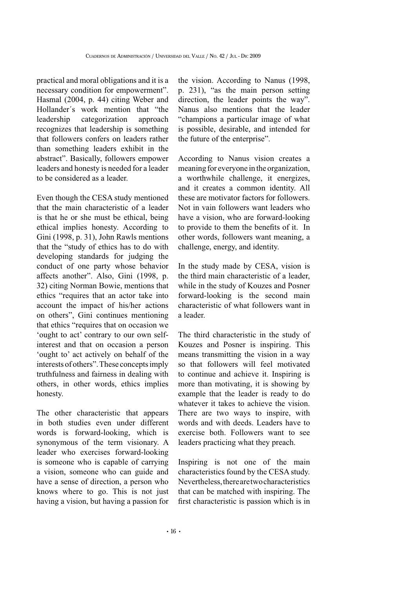practical and moral obligations and it is a necessary condition for empowerment". Hasmal (2004, p. 44) citing Weber and Hollander´s work mention that "the leadership categorization approach recognizes that leadership is something that followers confers on leaders rather than something leaders exhibit in the abstract". Basically, followers empower leaders and honesty is needed for a leader to be considered as a leader.

Even though the CESA study mentioned that the main characteristic of a leader is that he or she must be ethical, being ethical implies honesty. According to Gini (1998, p. 31), John Rawls mentions that the "study of ethics has to do with developing standards for judging the conduct of one party whose behavior affects another". Also, Gini (1998, p. 32) citing Norman Bowie, mentions that ethics "requires that an actor take into account the impact of his/her actions on others", Gini continues mentioning that ethics "requires that on occasion we 'ought to act'contrary to our own selfinterest and that on occasion a person 'ought to'act actively on behalf of the interests of others".These conceptsimply truthfulness and fairness in dealing with others, in other words, ethics implies honesty.

The other characteristic that appears in both studies even under different words is forward-looking, which is synonymous of the term visionary. A leader who exercises forward-looking is someone who is capable of carrying a vision, someone who can guide and have a sense of direction, a person who knows where to go. This is not just having a vision, but having a passion for the vision. According to Nanus (1998, p. 231), "as the main person setting direction, the leader points the way". Nanus also mentions that the leader "champions a particular image of what is possible, desirable, and intended for the future of the enterprise".

According to Nanus vision creates a meaning for everyone in the organization, a worthwhile challenge, it energizes, and it creates a common identity. All these are motivator factors for followers. Not in vain followers want leaders who have a vision, who are forward-looking to provide to them the benefits of it. In other words, followers want meaning, a challenge, energy, and identity.

In the study made by CESA, vision is the third main characteristic of a leader, while in the study of Kouzes and Posner forward-looking is the second main characteristic of what followers want in a leader.

The third characteristic in the study of Kouzes and Posner is inspiring. This means transmitting the vision in a way so that followers will feel motivated to continue and achieve it. Inspiring is more than motivating, it is showing by example that the leader is ready to do whatever it takes to achieve the vision. There are two ways to inspire, with words and with deeds. Leaders have to exercise both. Followers want to see leaders practicing what they preach.

Inspiring is not one of the main characteristics found by the CESA study. Nevertheless,therearetwocharacteristics that can be matched with inspiring. The first characteristic is passion which is in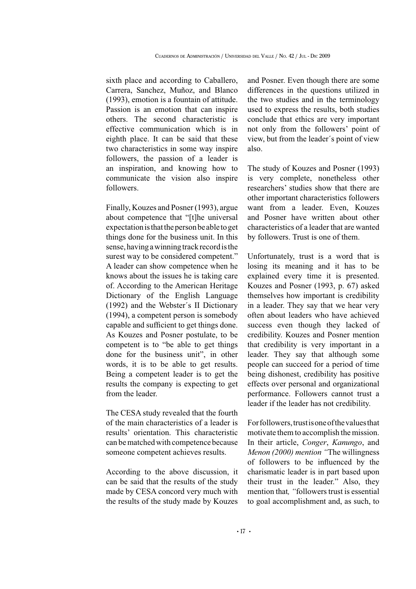sixth place and according to Caballero, Carrera, Sanchez, Muñoz, and Blanco (1993), emotion is a fountain of attitude. Passion is an emotion that can inspire others. The second characteristic is effective communication which is in eighth place. It can be said that these two characteristics in some way inspire followers, the passion of a leader is an inspiration, and knowing how to communicate the vision also inspire followers.

Finally, Kouzes and Posner (1993), argue about competence that "[t]he universal expectationisthatthepersonbe able toget things done for the business unit. In this sense, having a winning track record is the surest way to be considered competent." A leader can show competence when he knows about the issues he is taking care of. According to the American Heritage Dictionary of the English Language (1992) and the Webster´s II Dictionary (1994), a competent person is somebody capable and sufficient to get things done. As Kouzes and Posner postulate, to be competent is to "be able to get things done for the business unit", in other words, it is to be able to get results. Being a competent leader is to get the results the company is expecting to get from the leader.

The CESA study revealed that the fourth of the main characteristics of a leader is results'orientation. This characteristic can be matched with competence because someone competent achieves results.

According to the above discussion, it can be said that the results of the study made by CESA concord very much with the results of the study made by Kouzes and Posner. Even though there are some differences in the questions utilized in the two studies and in the terminology used to express the results, both studies conclude that ethics are very important not only from the followers'point of view, but from the leader´s point of view also.

The study of Kouzes and Posner (1993) is very complete, nonetheless other researchers'studies show that there are other important characteristics followers want from a leader. Even, Kouzes and Posner have written about other characteristics of a leader that are wanted by followers. Trust is one of them.

Unfortunately, trust is a word that is losing its meaning and it has to be explained every time it is presented. Kouzes and Posner (1993, p. 67) asked themselves how important is credibility in a leader. They say that we hear very often about leaders who have achieved success even though they lacked of credibility. Kouzes and Posner mention that credibility is very important in a leader. They say that although some people can succeed for a period of time being dishonest, credibility has positive effects over personal and organizational performance. Followers cannot trust a leader if the leader has not credibility.

Forfollowers,trustisoneofthevaluesthat motivate themto accomplish themission. In their article, *Conger*, *Kanungo*, and *Menon (2000) mention "*The willingness of followers to be influenced by the charismatic leader is in part based upon their trust in the leader." Also, they mention that, "followers trust is essential to goal accomplishment and, as such, to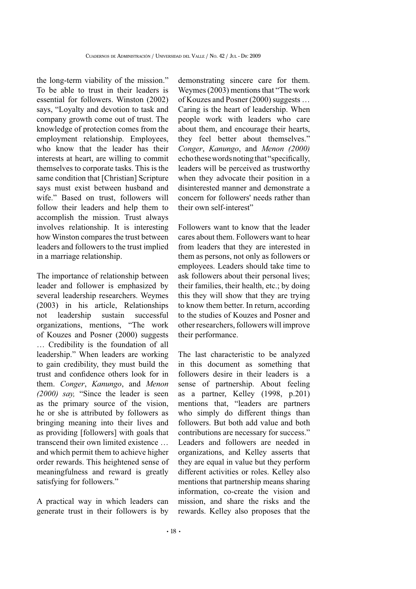the long-term viability of the mission." To be able to trust in their leaders is essential for followers. Winston (2002) says, "Loyalty and devotion to task and company growth come out of trust. The knowledge of protection comes from the employment relationship. Employees, who know that the leader has their interests at heart, are willing to commit themselves to corporate tasks. This is the same condition that [Christian] Scripture says must exist between husband and wife." Based on trust, followers will follow their leaders and help them to accomplish the mission. Trust always involves relationship. It is interesting how Winston compares the trust between leaders and followers to the trust implied in a marriage relationship.

The importance of relationship between leader and follower is emphasized by several leadership researchers. Weymes (2003) in his article, Relationships not leadership sustain successful organizations, mentions, "The work of Kouzes and Posner (2000) suggests … Credibility is the foundation of all leadership."When leaders are working to gain credibility, they must build the trust and confidence others look for in them. *Conger*, *Kanungo*, and *Menon (2000) say,* "Since the leader is seen as the primary source of the vision, he or she is attributed by followers as bringing meaning into their lives and as providing [followers] with goals that transcend their own limited existence … and which permit them to achieve higher order rewards. This heightened sense of meaningfulness and reward is greatly satisfying for followers."

A practical way in which leaders can generate trust in their followers is by

demonstrating sincere care for them. Weymes (2003) mentions that "The work" of Kouzes and Posner (2000) suggests ... Caring is the heart of leadership. When people work with leaders who care about them, and encourage their hearts, they feel better about themselves." *Conger*, *Kanungo*, and *Menon (2000)* echothesewordsnotingthat"specifically, leaders will be perceived as trustworthy when they advocate their position in a disinterested manner and demonstrate a concern for followers'needs rather than their own self-interest"

Followers want to know that the leader cares about them. Followers want to hear from leaders that they are interested in them as persons, not only as followers or employees. Leaders should take time to ask followers about their personal lives; their families, their health, etc.; by doing this they will show that they are trying to know them better. In return, according to the studies of Kouzes and Posner and other researchers, followers will improve their performance.

The last characteristic to be analyzed in this document as something that followers desire in their leaders is a sense of partnership. About feeling as a partner, Kelley (1998, p.201) mentions that, "leaders are partners who simply do different things than followers. But both add value and both contributions are necessary for success." Leaders and followers are needed in organizations, and Kelley asserts that they are equal in value but they perform different activities or roles. Kelley also mentions that partnership means sharing information, co-create the vision and mission, and share the risks and the rewards. Kelley also proposes that the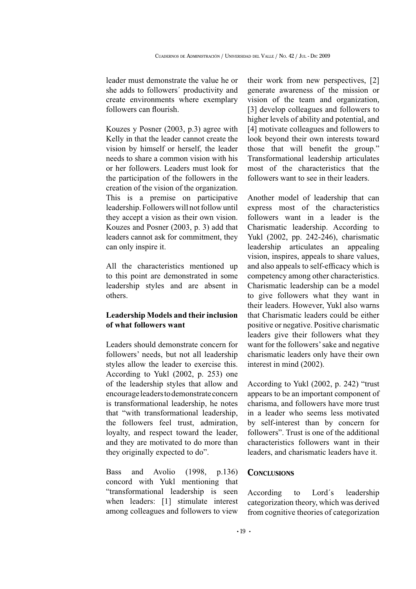leader must demonstrate the value he or she adds to followers´ productivity and create environments where exemplary followers can flourish.

Kouzes y Posner (2003, p.3) agree with Kelly in that the leader cannot create the vision by himself or herself, the leader needs to share a common vision with his or her followers. Leaders must look for the participation of the followers in the creation of the vision of the organization. This is a premise on participative leadership. Followers will not follow until they accept a vision as their own vision. Kouzes and Posner (2003, p. 3) add that leaders cannot ask for commitment, they can only inspire it.

All the characteristics mentioned up to this point are demonstrated in some leadership styles and are absent in others.

# **LeadershipModels and their inclusion of what followers want**

Leaders should demonstrate concern for followers'needs, but not all leadership styles allow the leader to exercise this. According to Yukl (2002, p. 253) one of the leadership styles that allow and encourageleaderstodemonstrateconcern is transformational leadership, he notes that "with transformational leadership, the followers feel trust, admiration, loyalty, and respect toward the leader, and they are motivated to do more than they originally expected to do".

Bass and Avolio (1998, p.136) concord with Yukl mentioning that "transformational leadership is seen when leaders: [1] stimulate interest among colleagues and followers to view

their work from new perspectives, [2] generate awareness of the mission or vision of the team and organization, [3] develop colleagues and followers to higher levels of ability and potential, and [4] motivate colleagues and followers to look beyond their own interests toward those that will benefit the group." Transformational leadership articulates most of the characteristics that the followers want to see in their leaders.

Another model of leadership that can express most of the characteristics followers want in a leader is the Charismatic leadership. According to Yukl (2002, pp. 242-246), charismatic leadership articulates an appealing vision, inspires, appeals to share values, and also appeals to self-efficacy which is competency among other characteristics. Charismatic leadership can be a model to give followers what they want in their leaders. However, Yukl also warns that Charismatic leaders could be either positive or negative. Positive charismatic leaders give their followers what they want for the followers' sake and negative charismatic leaders only have their own interest in mind (2002).

According to Yukl (2002, p. 242) "trust appears to be an important component of charisma, and followers have more trust in a leader who seems less motivated by self-interest than by concern for followers". Trust is one of the additional characteristics followers want in their leaders, and charismatic leaders have it.

### **CONCLUSIONS**

According to Lord´s leadership categorization theory, which was derived from cognitive theories of categorization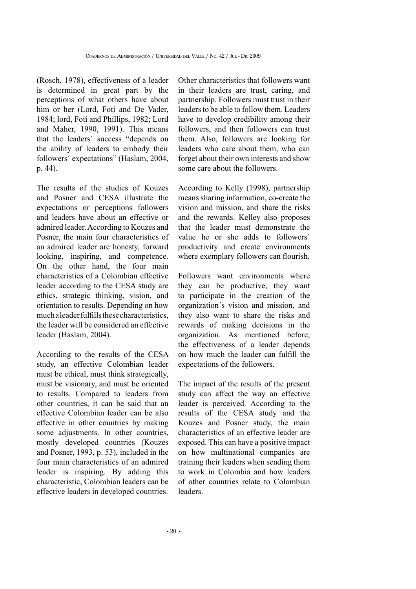(Rosch, 1978), effectiveness of a leader is determined in great part by the perceptions of what others have about him or her (Lord, Foti and De Vader, 1984; lord, Foti and Phillips, 1982; Lord and Maher, 1990, 1991). This means that the leaders´ success "depends on the ability of leaders to embody their followers´ expectations"(Haslam, 2004, p. 44).

The results of the studies of Kouzes and Posner and CESA illustrate the expectations or perceptions followers and leaders have about an effective or admired leader.According to Kouzes and Posner, the main four characteristics of an admired leader are honesty, forward looking, inspiring, and competence. On the other hand, the four main characteristics of a Colombian effective leader according to the CESA study are ethics, strategic thinking, vision, and orientation to results. Depending on how muchaleaderfulfillsthesecharacteristics, the leader will be considered an effective leader (Haslam, 2004).

According to the results of the CESA study, an effective Colombian leader must be ethical, must think strategically, must be visionary, and must be oriented to results. Compared to leaders from other countries, it can be said that an effective Colombian leader can be also effective in other countries by making some adjustments. In other countries, mostly developed countries (Kouzes and Posner, 1993, p. 53), included in the four main characteristics of an admired leader is inspiring. By adding this characteristic, Colombian leaders can be effective leaders in developed countries.

Other characteristics that followers want in their leaders are trust, caring, and partnership. Followers must trust in their leaders to be able to follow them. Leaders have to develop credibility among their followers, and then followers can trust them. Also, followers are looking for leaders who care about them, who can forget about their own interests and show some care about the followers.

According to Kelly (1998), partnership means sharing information, co-create the vision and mission, and share the risks and the rewards. Kelley also proposes that the leader must demonstrate the value he or she adds to followers´ productivity and create environments where exemplary followers can flourish.

Followers want environments where they can be productive, they want to participate in the creation of the organization´s vision and mission, and they also want to share the risks and rewards of making decisions in the organization. As mentioned before, the effectiveness of a leader depends on how much the leader can fulfill the expectations of the followers.

The impact of the results of the present study can affect the way an effective leader is perceived. According to the results of the CESA study and the Kouzes and Posner study, the main characteristics of an effective leader are exposed. This can have a positive impact on how multinational companies are training their leaders when sending them to work in Colombia and how leaders of other countries relate to Colombian leaders.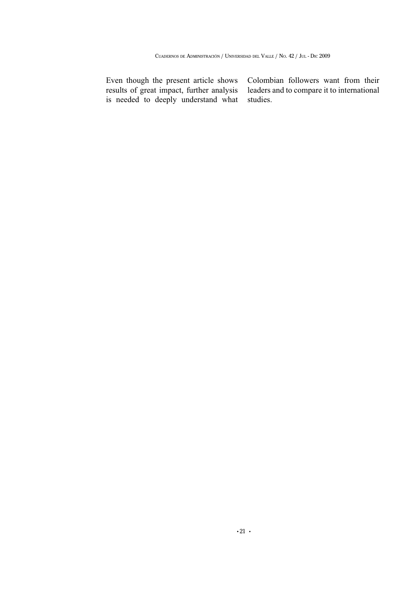Even though the present article shows results of great impact, further analysis is needed to deeply understand what

Colombian followers want from their leaders and to compare it to international studies.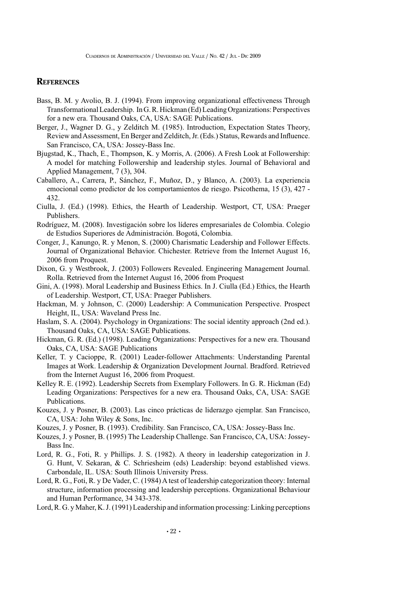### **REFERENCES**

- Bass, B. M. y Avolio, B. J. (1994). From improving organizational effectiveness Through Transformational Leadership. In G.R. Hickman (Ed) Leading Organizations: Perspectives for a new era. Thousand Oaks, CA, USA: SAGE Publications.
- Berger, J., Wagner D. G., y Zelditch M. (1985). Introduction, Expectation States Theory, Review and Assessment, En Berger and Zelditch, Jr. (Eds.) Status, Rewards and Influence. San Francisco, CA, USA: Jossey-Bass Inc.
- Bjugstad, K., Thach, E., Thompson, K. y Morris, A. (2006). A Fresh Look at Followership: A model for matching Followership and leadership styles. Journal of Behavioral and Applied Management, 7(3), 304.
- Caballero, A., Carrera, P., Sánchez, F., Muñoz, D., y Blanco, A. (2003). La experiencia emocional como predictor de los comportamientos de riesgo. Psicothema, 15 (3), 427- 432.
- Ciulla, J. (Ed.) (1998). Ethics, the Hearth of Leadership. Westport, CT, USA: Praeger Publishers.
- Rodríguez, M. (2008). Investigación sobre los líderes empresariales de Colombia. Colegio de Estudios Superiores de Administración. Bogotá, Colombia.
- Conger, J., Kanungo, R. y Menon, S. (2000) Charismatic Leadership and Follower Effects. Journal of Organizational Behavior. Chichester. Retrieve from the Internet August 16, 2006 from Proquest.
- Dixon, G. y Westbrook, J. (2003) Followers Revealed. Engineering Management Journal. Rolla. Retrieved from the Internet August 16, 2006 from Proquest
- Gini, A. (1998). Moral Leadership and Business Ethics. In J. Ciulla (Ed.) Ethics, the Hearth of Leadership. Westport, CT, USA: Praeger Publishers.
- Hackman, M. y Johnson, C. (2000) Leadership: A Communication Perspective. Prospect Height, IL, USA: Waveland Press Inc.
- Haslam, S. A. (2004). Psychology in Organizations: The social identity approach (2nd ed.). Thousand Oaks, CA, USA: SAGE Publications.
- Hickman, G. R. (Ed.) (1998). Leading Organizations: Perspectives for a new era. Thousand Oaks, CA, USA: SAGE Publications
- Keller, T. y Cacioppe, R. (2001) Leader-follower Attachments: Understanding Parental Images at Work. Leadership & Organization Development Journal. Bradford. Retrieved from the Internet August 16, 2006 from Proquest.
- Kelley R. E. (1992). Leadership Secrets from Exemplary Followers. In G. R. Hickman (Ed) Leading Organizations: Perspectives for a new era. Thousand Oaks, CA, USA: SAGE Publications.
- Kouzes, J. y Posner, B. (2003). Las cinco prácticas de liderazgo ejemplar. San Francisco, CA, USA: John Wiley & Sons, Inc.
- Kouzes, J. y Posner, B. (1993). Credibility. San Francisco, CA, USA: Jossey-Bass Inc.
- Kouzes, J. y Posner, B. (1995) The Leadership Challenge. San Francisco, CA, USA: Jossey-Bass Inc.
- Lord, R. G., Foti, R. y Phillips. J. S. (1982). A theory in leadership categorization in J. G. Hunt, V. Sekaran, & C. Schriesheim (eds) Leadership: beyond established views. Carbondale, IL. USA: South Illinois University Press.
- Lord, R. G., Foti, R. y De Vader, C. (1984) A test of leadership categorization theory: Internal structure, information processing and leadership perceptions. Organizational Behaviour and Human Performance, 34 343-378.

Lord, R. G. y Maher, K. J. (1991) Leadership and information processing: Linking perceptions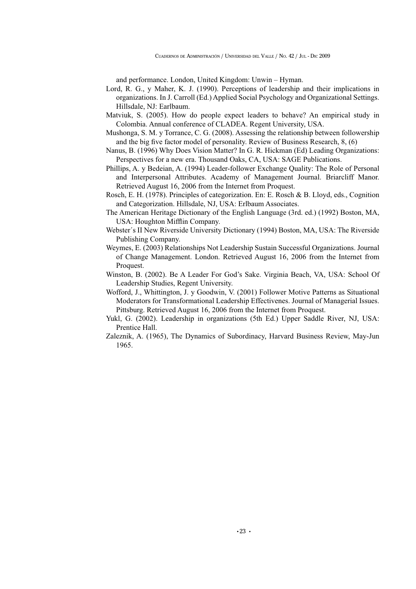and performance. London, United Kingdom: Unwin –Hyman.

- Lord, R. G., y Maher, K. J. (1990). Perceptions of leadership and their implications in organizations. In J. Carroll (Ed.) Applied Social Psychology and Organizational Settings. Hillsdale, NJ: Earlbaum.
- Matviuk, S. (2005). How do people expect leaders to behave? An empirical study in Colombia. Annual conference of CLADEA. Regent University, USA.
- Mushonga, S. M. y Torrance, C. G. (2008). Assessing the relationship between followership and the big five factor model of personality. Review of Business Research,  $8, (6)$
- Nanus, B. (1996) Why Does Vision Matter?In G. R. Hickman (Ed) Leading Organizations: Perspectives for a new era. Thousand Oaks, CA, USA: SAGE Publications.
- Phillips, A. y Bedeian, A. (1994) Leader-follower Exchange Quality: The Role of Personal and Interpersonal Attributes. Academy of Management Journal. Briarcliff Manor. Retrieved August 16, 2006 from the Internet from Proquest.
- Rosch, E. H. (1978). Principles of categorization. En: E. Rosch & B. Lloyd, eds., Cognition and Categorization. Hillsdale, NJ, USA: Erlbaum Associates.
- The American Heritage Dictionary of the English Language (3rd. ed.) (1992) Boston, MA, USA: Houghton Mifflin Company.
- Webster´s II New Riverside University Dictionary (1994) Boston, MA, USA: The Riverside Publishing Company.
- Weymes, E. (2003) Relationships Not Leadership Sustain Successful Organizations. Journal of Change Management. London. Retrieved August 16, 2006 from the Internet from Proquest.
- Winston, B. (2002). Be A Leader For God's Sake. Virginia Beach, VA, USA: School Of Leadership Studies, Regent University.
- Wofford, J., Whittington, J. y Goodwin, V. (2001) Follower Motive Patterns as Situational Moderators for Transformational Leadership Effectivenes. Journal of Managerial Issues. Pittsburg. Retrieved August 16, 2006 from the Internet from Proquest.
- Yukl, G. (2002). Leadership in organizations (5th Ed.) Upper Saddle River, NJ, USA: Prentice Hall.
- Zaleznik, A. (1965), The Dynamics of Subordinacy, Harvard Business Review, May-Jun 1965.